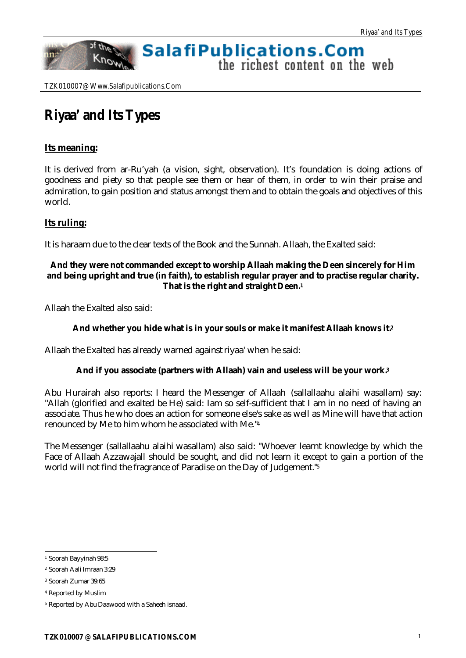# **SalafiPublications.Com**

the richest content on the web

TZK010007@ Www.Salafipublications.Com

of the

Know

# **Riyaa' and Its Types**

# **Its meaning:**

nn:

It is derived from ar-Ru'yah (a vision, sight, observation). It's foundation is doing actions of goodness and piety so that people see them or hear of them, in order to win their praise and admiration, to gain position and status amongst them and to obtain the goals and objectives of this world.

# **Its ruling:**

It is haraam due to the clear texts of the Book and the Sunnah. Allaah, the Exalted said:

## **And they were not commanded except to worship Allaah making the Deen sincerely for Him and being upright and true (in faith), to establish regular prayer and to practise regular charity. That is the right and straight Deen.<sup>1</sup>**

Allaah the Exalted also said:

### **And whether you hide what is in your souls or make it manifest Allaah knows it.<sup>2</sup>**

Allaah the Exalted has already warned against riyaa' when he said:

### **And if you associate (partners with Allaah) vain and useless will be your work.<sup>3</sup>**

Abu Hurairah also reports: I heard the Messenger of Allaah (sallallaahu alaihi wasallam) say: "Allah (glorified and exalted be He) said: Iam so self-sufficient that I am in no need of having an associate. Thus he who does an action for someone else's sake as well as Mine will have that action renounced by Me to him whom he associated with Me."<sup>4</sup>

The Messenger (sallallaahu alaihi wasallam) also said: "Whoever learnt knowledge by which the Face of Allaah Azzawajall should be sought, and did not learn it except to gain a portion of the world will not find the fragrance of Paradise on the Day of Judgement."<sup>5</sup>

l <sup>1</sup> Soorah Bayyinah 98:5

<sup>2</sup> Soorah Aali Imraan 3:29

<sup>3</sup> Soorah Zumar 39:65

<sup>4</sup> Reported by Muslim

<sup>5</sup> Reported by Abu Daawood with a Saheeh isnaad.